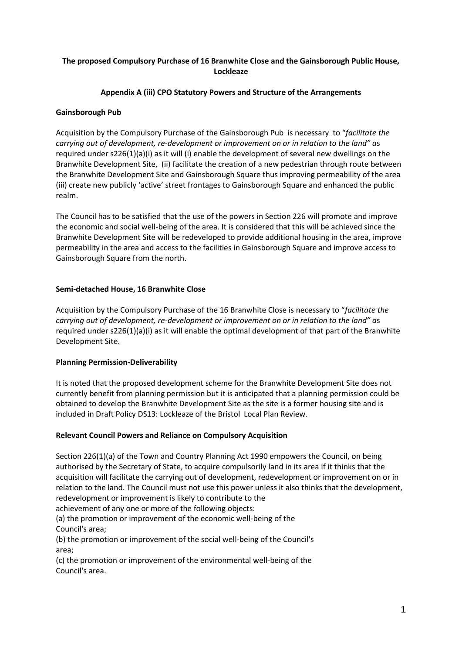# **The proposed Compulsory Purchase of 16 Branwhite Close and the Gainsborough Public House, Lockleaze**

#### **Appendix A (iii) CPO Statutory Powers and Structure of the Arrangements**

#### **Gainsborough Pub**

Acquisition by the Compulsory Purchase of the Gainsborough Pub is necessary to "*facilitate the carrying out of development, re-development or improvement on or in relation to the land" a*s required under s226(1)(a)(i) as it will (i) enable the development of several new dwellings on the Branwhite Development Site, (ii) facilitate the creation of a new pedestrian through route between the Branwhite Development Site and Gainsborough Square thus improving permeability of the area (iii) create new publicly 'active' street frontages to Gainsborough Square and enhanced the public realm.

The Council has to be satisfied that the use of the powers in Section 226 will promote and improve the economic and social well-being of the area. It is considered that this will be achieved since the Branwhite Development Site will be redeveloped to provide additional housing in the area, improve permeability in the area and access to the facilities in Gainsborough Square and improve access to Gainsborough Square from the north.

#### **Semi-detached House, 16 Branwhite Close**

Acquisition by the Compulsory Purchase of the 16 Branwhite Close is necessary to "*facilitate the carrying out of development, re-development or improvement on or in relation to the land" a*s required under s226(1)(a)(i) as it will enable the optimal development of that part of the Branwhite Development Site.

## **Planning Permission-Deliverability**

It is noted that the proposed development scheme for the Branwhite Development Site does not currently benefit from planning permission but it is anticipated that a planning permission could be obtained to develop the Branwhite Development Site as the site is a former housing site and is included in Draft Policy DS13: Lockleaze of the Bristol Local Plan Review.

## **Relevant Council Powers and Reliance on Compulsory Acquisition**

Section 226(1)(a) of the Town and Country Planning Act 1990 empowers the Council, on being authorised by the Secretary of State, to acquire compulsorily land in its area if it thinks that the acquisition will facilitate the carrying out of development, redevelopment or improvement on or in relation to the land. The Council must not use this power unless it also thinks that the development, redevelopment or improvement is likely to contribute to the

achievement of any one or more of the following objects:

(a) the promotion or improvement of the economic well-being of the Council's area;

(b) the promotion or improvement of the social well-being of the Council's area;

(c) the promotion or improvement of the environmental well-being of the Council's area.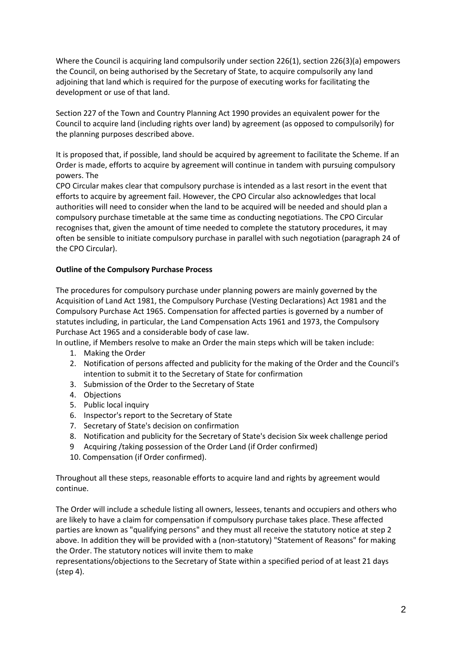Where the Council is acquiring land compulsorily under section 226(1), section 226(3)(a) empowers the Council, on being authorised by the Secretary of State, to acquire compulsorily any land adjoining that land which is required for the purpose of executing works for facilitating the development or use of that land.

Section 227 of the Town and Country Planning Act 1990 provides an equivalent power for the Council to acquire land (including rights over land) by agreement (as opposed to compulsorily) for the planning purposes described above.

It is proposed that, if possible, land should be acquired by agreement to facilitate the Scheme. If an Order is made, efforts to acquire by agreement will continue in tandem with pursuing compulsory powers. The

CPO Circular makes clear that compulsory purchase is intended as a last resort in the event that efforts to acquire by agreement fail. However, the CPO Circular also acknowledges that local authorities will need to consider when the land to be acquired will be needed and should plan a compulsory purchase timetable at the same time as conducting negotiations. The CPO Circular recognises that, given the amount of time needed to complete the statutory procedures, it may often be sensible to initiate compulsory purchase in parallel with such negotiation (paragraph 24 of the CPO Circular).

## **Outline of the Compulsory Purchase Process**

The procedures for compulsory purchase under planning powers are mainly governed by the Acquisition of Land Act 1981, the Compulsory Purchase (Vesting Declarations) Act 1981 and the Compulsory Purchase Act 1965. Compensation for affected parties is governed by a number of statutes including, in particular, the Land Compensation Acts 1961 and 1973, the Compulsory Purchase Act 1965 and a considerable body of case law.

In outline, if Members resolve to make an Order the main steps which will be taken include:

- 1. Making the Order
- 2. Notification of persons affected and publicity for the making of the Order and the Council's intention to submit it to the Secretary of State for confirmation
- 3. Submission of the Order to the Secretary of State
- 4. Objections
- 5. Public local inquiry
- 6. Inspector's report to the Secretary of State
- 7. Secretary of State's decision on confirmation
- 8. Notification and publicity for the Secretary of State's decision Six week challenge period
- 9 Acquiring /taking possession of the Order Land (if Order confirmed)
- 10. Compensation (if Order confirmed).

Throughout all these steps, reasonable efforts to acquire land and rights by agreement would continue.

The Order will include a schedule listing all owners, lessees, tenants and occupiers and others who are likely to have a claim for compensation if compulsory purchase takes place. These affected parties are known as "qualifying persons" and they must all receive the statutory notice at step 2 above. In addition they will be provided with a (non-statutory) "Statement of Reasons" for making the Order. The statutory notices will invite them to make

representations/objections to the Secretary of State within a specified period of at least 21 days (step 4).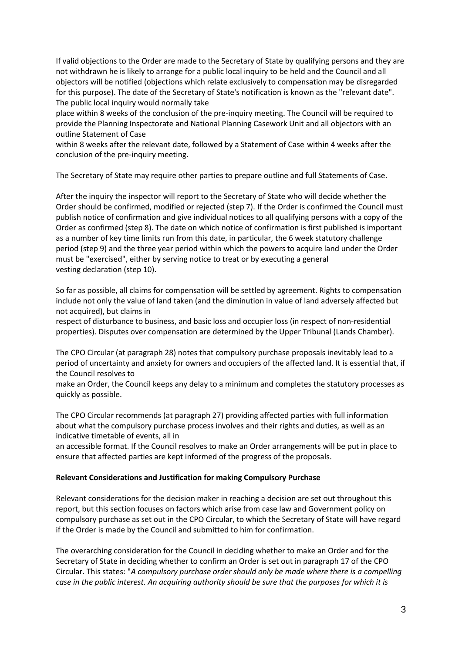If valid objections to the Order are made to the Secretary of State by qualifying persons and they are not withdrawn he is likely to arrange for a public local inquiry to be held and the Council and all objectors will be notified (objections which relate exclusively to compensation may be disregarded for this purpose). The date of the Secretary of State's notification is known as the "relevant date". The public local inquiry would normally take

place within 8 weeks of the conclusion of the pre-inquiry meeting. The Council will be required to provide the Planning Inspectorate and National Planning Casework Unit and all objectors with an outline Statement of Case

within 8 weeks after the relevant date, followed by a Statement of Case within 4 weeks after the conclusion of the pre-inquiry meeting.

The Secretary of State may require other parties to prepare outline and full Statements of Case.

After the inquiry the inspector will report to the Secretary of State who will decide whether the Order should be confirmed, modified or rejected (step 7). If the Order is confirmed the Council must publish notice of confirmation and give individual notices to all qualifying persons with a copy of the Order as confirmed (step 8). The date on which notice of confirmation is first published is important as a number of key time limits run from this date, in particular, the 6 week statutory challenge period (step 9) and the three year period within which the powers to acquire land under the Order must be "exercised", either by serving notice to treat or by executing a general vesting declaration (step 10).

So far as possible, all claims for compensation will be settled by agreement. Rights to compensation include not only the value of land taken (and the diminution in value of land adversely affected but not acquired), but claims in

respect of disturbance to business, and basic loss and occupier loss (in respect of non-residential properties). Disputes over compensation are determined by the Upper Tribunal (Lands Chamber).

The CPO Circular (at paragraph 28) notes that compulsory purchase proposals inevitably lead to a period of uncertainty and anxiety for owners and occupiers of the affected land. It is essential that, if the Council resolves to

make an Order, the Council keeps any delay to a minimum and completes the statutory processes as quickly as possible.

The CPO Circular recommends (at paragraph 27) providing affected parties with full information about what the compulsory purchase process involves and their rights and duties, as well as an indicative timetable of events, all in

an accessible format. If the Council resolves to make an Order arrangements will be put in place to ensure that affected parties are kept informed of the progress of the proposals.

#### **Relevant Considerations and Justification for making Compulsory Purchase**

Relevant considerations for the decision maker in reaching a decision are set out throughout this report, but this section focuses on factors which arise from case law and Government policy on compulsory purchase as set out in the CPO Circular, to which the Secretary of State will have regard if the Order is made by the Council and submitted to him for confirmation.

The overarching consideration for the Council in deciding whether to make an Order and for the Secretary of State in deciding whether to confirm an Order is set out in paragraph 17 of the CPO Circular. This states: "*A compulsory purchase order should only be made where there is a compelling case in the public interest. An acquiring authority should be sure that the purposes for which it is*